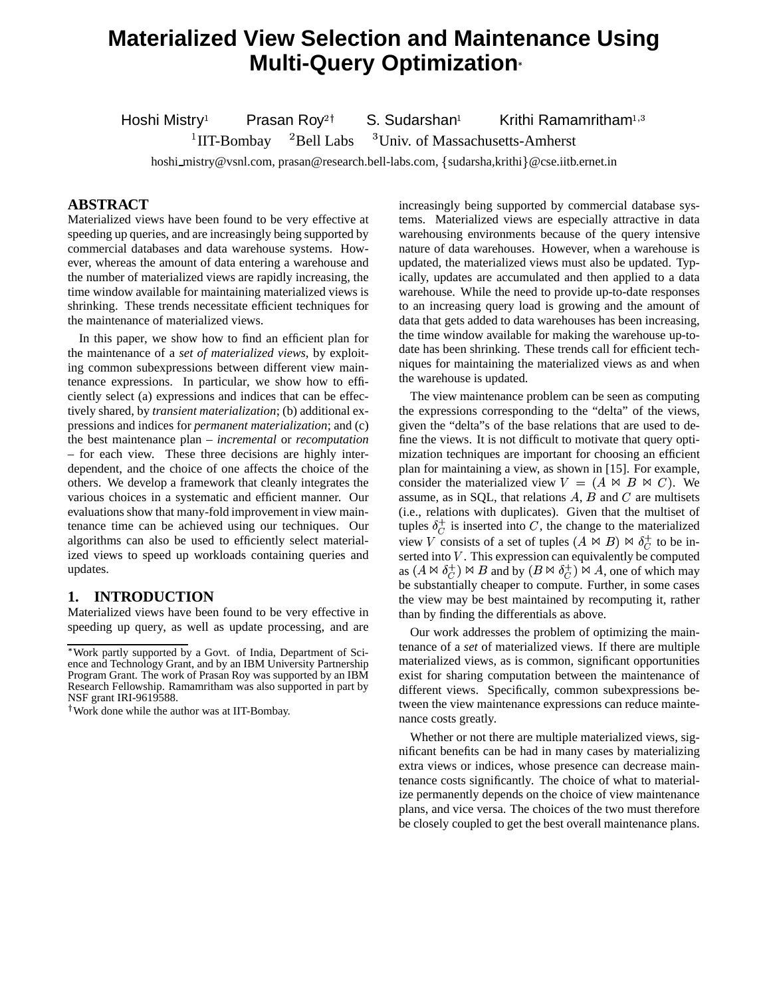# **Materialized View Selection and Maintenance Using Multi-Query Optimization**

Hoshi Mistry Prasan Roy<sup>2†</sup> S. Sudarshan Krithi Ramamritham

> $1$ IIT-Bombay  $2$ Bell L <sup>2</sup>Bell Labs Univ. of Massachusetts-Amherst

hoshi\_mistry@vsnl.com, prasan@research.bell-labs.com, {sudarsha,krithi}@cse.iitb.ernet.in

# **ABSTRACT**

Materialized views have been found to be very effective at speeding up queries, and are increasingly being supported by commercial databases and data warehouse systems. However, whereas the amount of data entering a warehouse and the number of materialized views are rapidly increasing, the time window available for maintaining materialized views is shrinking. These trends necessitate efficient techniques for the maintenance of materialized views.

In this paper, we show how to find an efficient plan for the maintenance of a *set of materialized views*, by exploiting common subexpressions between different view maintenance expressions. In particular, we show how to efficiently select (a) expressions and indices that can be effectively shared, by *transient materialization*; (b) additional expressions and indices for *permanent materialization*; and (c) the best maintenance plan – *incremental* or *recomputation* – for each view. These three decisions are highly interdependent, and the choice of one affects the choice of the others. We develop a framework that cleanly integrates the various choices in a systematic and efficient manner. Our evaluations show that many-fold improvement in view maintenance time can be achieved using our techniques. Our algorithms can also be used to efficiently select materialized views to speed up workloads containing queries and updates.

### **1. INTRODUCTION**

Materialized views have been found to be very effective in speeding up query, as well as update processing, and are increasingly being supported by commercial database systems. Materialized views are especially attractive in data warehousing environments because of the query intensive nature of data warehouses. However, when a warehouse is updated, the materialized views must also be updated. Typically, updates are accumulated and then applied to a data warehouse. While the need to provide up-to-date responses to an increasing query load is growing and the amount of data that gets added to data warehouses has been increasing, the time window available for making the warehouse up-todate has been shrinking. These trends call for efficient techniques for maintaining the materialized views as and when the warehouse is updated.

The view maintenance problem can be seen as computing the expressions corresponding to the "delta" of the views, given the "delta"s of the base relations that are used to define the views. It is not difficult to motivate that query optimization techniques are important for choosing an efficient plan for maintaining a view, as shown in [15]. For example, consider the materialized view  $V = (A \bowtie B \bowtie C)$ . We assume, as in SQL, that relations  $A$ ,  $B$  and  $C$  are multisets (i.e., relations with duplicates). Given that the multiset of tuples  $\delta_C^+$  is inserted into C, the change to the materialized view V consists of a set of tuples  $(A \bowtie B) \bowtie \delta_C^+$  to be inserted into  $V$ . This expression can equivalently be computed as  $(A \bowtie \delta_C^+) \bowtie B$  and by  $(B \bowtie \delta_C^+) \bowtie A$ , one of which may be substantially cheaper to compute. Further, in some cases the view may be best maintained by recomputing it, rather than by finding the differentials as above.

Our work addresses the problem of optimizing the maintenance of a *set* of materialized views. If there are multiple materialized views, as is common, significant opportunities exist for sharing computation between the maintenance of different views. Specifically, common subexpressions between the view maintenance expressions can reduce maintenance costs greatly.

Whether or not there are multiple materialized views, significant benefits can be had in many cases by materializing extra views or indices, whose presence can decrease maintenance costs significantly. The choice of what to materialize permanently depends on the choice of view maintenance plans, and vice versa. The choices of the two must therefore be closely coupled to get the best overall maintenance plans.

 Work partly supported by a Govt. of India, Department of Science and Technology Grant, and by an IBM University Partnership Program Grant. The work of Prasan Roy was supported by an IBM Research Fellowship. Ramamritham was also supported in part by NSF grant IRI-9619588.

Work done while the author was at IIT-Bombay.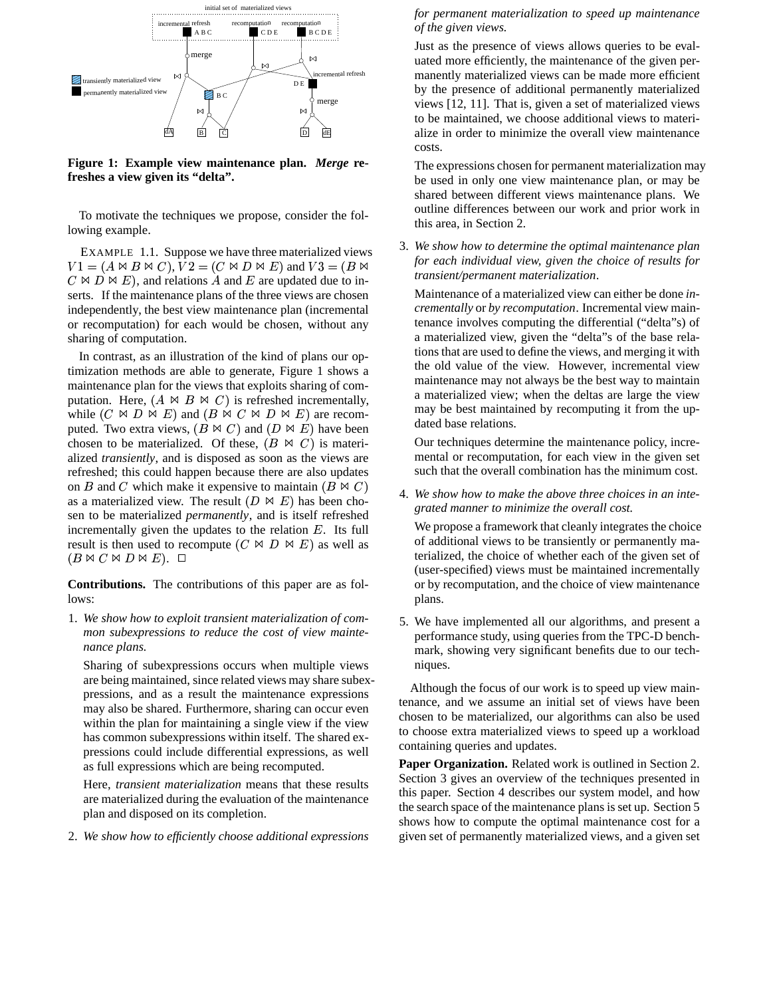

**Figure 1: Example view maintenance plan.** *Merge* **refreshes a view given its "delta".**

To motivate the techniques we propose, consider the following example.

EXAMPLE 1.1. Suppose we have three materialized views  $V1 = (A \bowtie B \bowtie C), V2 = (C \bowtie D \bowtie E)$  and  $V3 = (B \bowtie$  $C \bowtie D \bowtie E$ , and relations A and E are updated due to inserts. If the maintenance plans of the three views are chosen independently, the best view maintenance plan (incremental or recomputation) for each would be chosen, without any sharing of computation.

In contrast, as an illustration of the kind of plans our optimization methods are able to generate, Figure 1 shows a maintenance plan for the views that exploits sharing of computation. Here,  $(A \Join B \Join C)$  is refreshed incrementally, while  $(C \bowtie D \bowtie E)$  and  $(B \bowtie C \bowtie D \bowtie E)$  are recomputed. Two extra views,  $(B \bowtie C)$  and  $(D \bowtie E)$  have been chosen to be materialized. Of these,  $(B \bowtie C)$  is materialized *transiently*, and is disposed as soon as the views are refreshed; this could happen because there are also updates on B and C which make it expensive to maintain  $(B \bowtie C)$ as a materialized view. The result  $(D \bowtie E)$  has been chosen to be materialized *permanently*, and is itself refreshed incrementally given the updates to the relation  $E$ . Its full result is then used to recompute  $(C \bowtie D \bowtie E)$  as well as  $(B \bowtie C \bowtie D \bowtie E)$ .  $\Box$ 

**Contributions.** The contributions of this paper are as follows:

1. *We show how to exploit transient materialization of common subexpressions to reduce the cost of view maintenance plans.*

Sharing of subexpressions occurs when multiple views are being maintained, since related views may share subexpressions, and as a result the maintenance expressions may also be shared. Furthermore, sharing can occur even within the plan for maintaining a single view if the view has common subexpressions within itself. The shared expressions could include differential expressions, as well as full expressions which are being recomputed.

Here, *transient materialization* means that these results are materialized during the evaluation of the maintenance plan and disposed on its completion.

2. *We show how to efficiently choose additional expressions*

### *for permanent materialization to speed up maintenance of the given views.*

Just as the presence of views allows queries to be evaluated more efficiently, the maintenance of the given permanently materialized views can be made more efficient by the presence of additional permanently materialized views [12, 11]. That is, given a set of materialized views to be maintained, we choose additional views to materialize in order to minimize the overall view maintenance costs.

The expressions chosen for permanent materialization may be used in only one view maintenance plan, or may be shared between different views maintenance plans. We outline differences between our work and prior work in this area, in Section 2.

3. *We show how to determine the optimal maintenance plan for each individual view, given the choice of results for transient/permanent materialization*.

Maintenance of a materialized view can either be done *incrementally* or *by recomputation*. Incremental view maintenance involves computing the differential ("delta"s) of a materialized view, given the "delta"s of the base relations that are used to define the views, and merging it with the old value of the view. However, incremental view maintenance may not always be the best way to maintain a materialized view; when the deltas are large the view may be best maintained by recomputing it from the updated base relations.

Our techniques determine the maintenance policy, incremental or recomputation, for each view in the given set such that the overall combination has the minimum cost.

4. *We show how to make the above three choices in an integrated manner to minimize the overall cost.*

We propose a framework that cleanly integrates the choice of additional views to be transiently or permanently materialized, the choice of whether each of the given set of (user-specified) views must be maintained incrementally or by recomputation, and the choice of view maintenance plans.

5. We have implemented all our algorithms, and present a performance study, using queries from the TPC-D benchmark, showing very significant benefits due to our techniques.

Although the focus of our work is to speed up view maintenance, and we assume an initial set of views have been chosen to be materialized, our algorithms can also be used to choose extra materialized views to speed up a workload containing queries and updates.

**Paper Organization.** Related work is outlined in Section 2. Section 3 gives an overview of the techniques presented in this paper. Section 4 describes our system model, and how the search space of the maintenance plans is set up. Section 5 shows how to compute the optimal maintenance cost for a given set of permanently materialized views, and a given set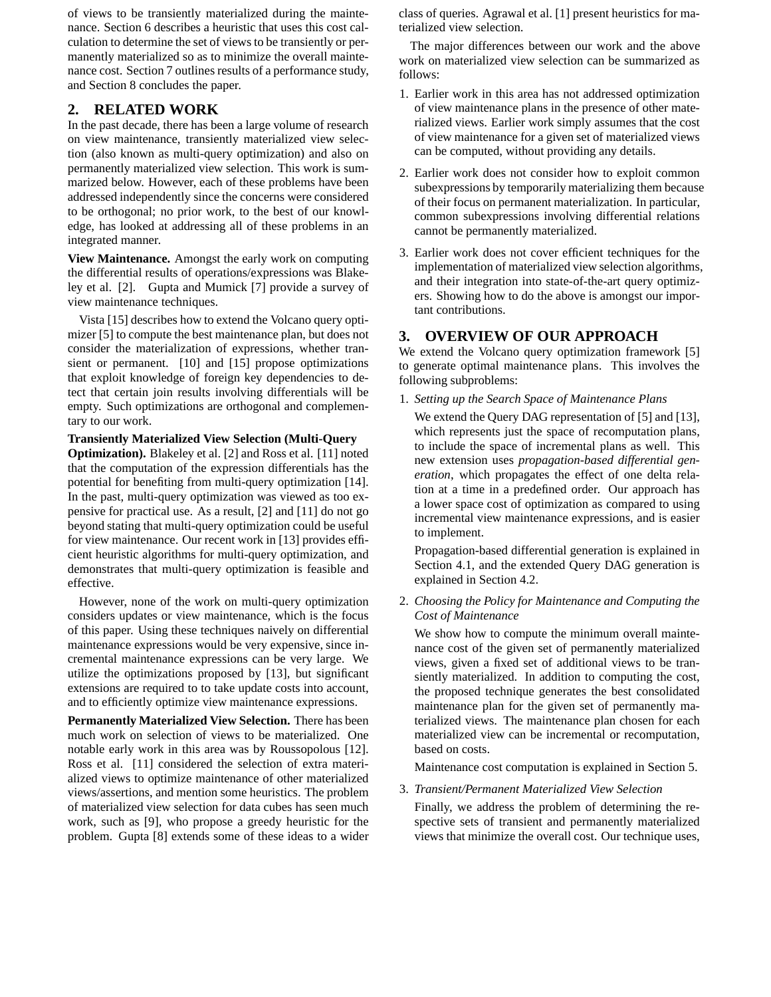of views to be transiently materialized during the maintenance. Section 6 describes a heuristic that uses this cost calculation to determine the set of views to be transiently or permanently materialized so as to minimize the overall maintenance cost. Section 7 outlines results of a performance study, and Section 8 concludes the paper.

# **2. RELATED WORK**

In the past decade, there has been a large volume of research on view maintenance, transiently materialized view selection (also known as multi-query optimization) and also on permanently materialized view selection. This work is summarized below. However, each of these problems have been addressed independently since the concerns were considered to be orthogonal; no prior work, to the best of our knowledge, has looked at addressing all of these problems in an integrated manner.

**View Maintenance.** Amongst the early work on computing the differential results of operations/expressions was Blakeley et al. [2]. Gupta and Mumick [7] provide a survey of view maintenance techniques.

Vista [15] describes how to extend the Volcano query optimizer [5] to compute the best maintenance plan, but does not consider the materialization of expressions, whether transient or permanent. [10] and [15] propose optimizations that exploit knowledge of foreign key dependencies to detect that certain join results involving differentials will be empty. Such optimizations are orthogonal and complementary to our work.

**Transiently Materialized View Selection (Multi-Query**

**Optimization).** Blakeley et al. [2] and Ross et al. [11] noted that the computation of the expression differentials has the potential for benefiting from multi-query optimization [14]. In the past, multi-query optimization was viewed as too expensive for practical use. As a result, [2] and [11] do not go beyond stating that multi-query optimization could be useful for view maintenance. Our recent work in [13] provides efficient heuristic algorithms for multi-query optimization, and demonstrates that multi-query optimization is feasible and effective.

However, none of the work on multi-query optimization considers updates or view maintenance, which is the focus of this paper. Using these techniques naively on differential maintenance expressions would be very expensive, since incremental maintenance expressions can be very large. We utilize the optimizations proposed by [13], but significant extensions are required to to take update costs into account, and to efficiently optimize view maintenance expressions.

**Permanently Materialized View Selection.** There has been much work on selection of views to be materialized. One notable early work in this area was by Roussopolous [12]. Ross et al. [11] considered the selection of extra materialized views to optimize maintenance of other materialized views/assertions, and mention some heuristics. The problem of materialized view selection for data cubes has seen much work, such as [9], who propose a greedy heuristic for the problem. Gupta [8] extends some of these ideas to a wider class of queries. Agrawal et al. [1] present heuristics for materialized view selection.

The major differences between our work and the above work on materialized view selection can be summarized as follows:

- 1. Earlier work in this area has not addressed optimization of view maintenance plans in the presence of other materialized views. Earlier work simply assumes that the cost of view maintenance for a given set of materialized views can be computed, without providing any details.
- 2. Earlier work does not consider how to exploit common subexpressions by temporarily materializing them because of their focus on permanent materialization. In particular, common subexpressions involving differential relations cannot be permanently materialized.
- 3. Earlier work does not cover efficient techniques for the implementation of materialized view selection algorithms, and their integration into state-of-the-art query optimizers. Showing how to do the above is amongst our important contributions.

# **3. OVERVIEW OF OUR APPROACH**

We extend the Volcano query optimization framework [5] to generate optimal maintenance plans. This involves the following subproblems:

1. *Setting up the Search Space of Maintenance Plans*

We extend the Query DAG representation of [5] and [13], which represents just the space of recomputation plans, to include the space of incremental plans as well. This new extension uses *propagation-based differential generation*, which propagates the effect of one delta relation at a time in a predefined order. Our approach has a lower space cost of optimization as compared to using incremental view maintenance expressions, and is easier to implement.

Propagation-based differential generation is explained in Section 4.1, and the extended Query DAG generation is explained in Section 4.2.

2. *Choosing the Policy for Maintenance and Computing the Cost of Maintenance*

We show how to compute the minimum overall maintenance cost of the given set of permanently materialized views, given a fixed set of additional views to be transiently materialized. In addition to computing the cost, the proposed technique generates the best consolidated maintenance plan for the given set of permanently materialized views. The maintenance plan chosen for each materialized view can be incremental or recomputation, based on costs.

Maintenance cost computation is explained in Section 5.

3. *Transient/Permanent Materialized View Selection*

Finally, we address the problem of determining the respective sets of transient and permanently materialized views that minimize the overall cost. Our technique uses,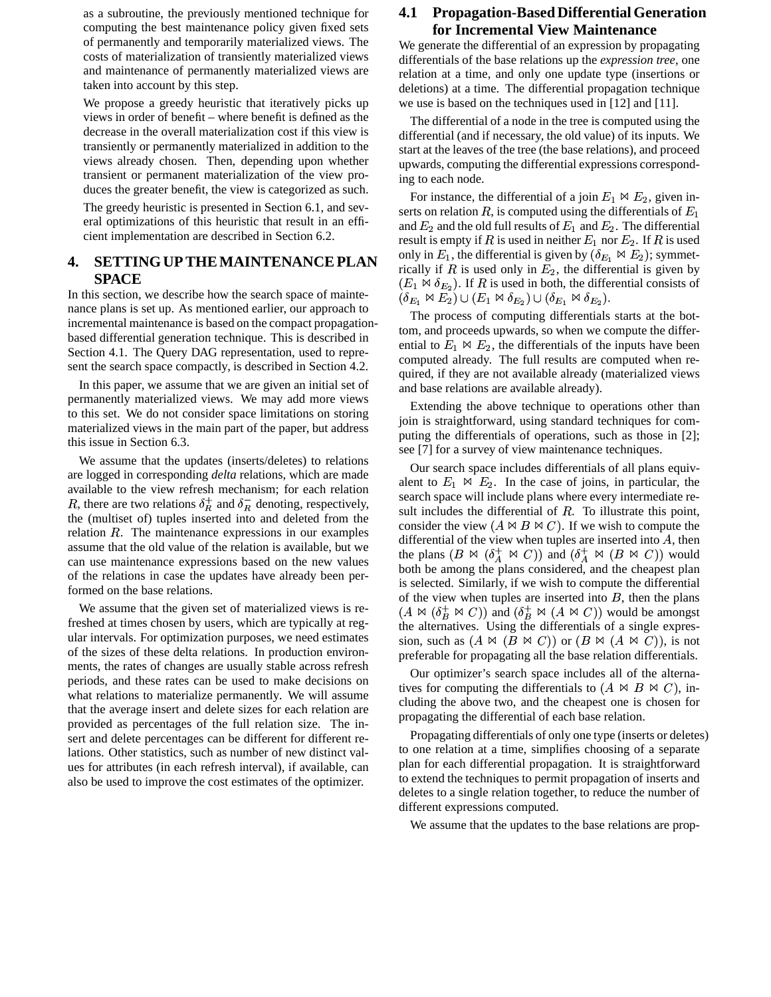as a subroutine, the previously mentioned technique for computing the best maintenance policy given fixed sets of permanently and temporarily materialized views. The costs of materialization of transiently materialized views and maintenance of permanently materialized views are taken into account by this step.

We propose a greedy heuristic that iteratively picks up views in order of benefit – where benefit is defined as the decrease in the overall materialization cost if this view is transiently or permanently materialized in addition to the views already chosen. Then, depending upon whether transient or permanent materialization of the view produces the greater benefit, the view is categorized as such.

The greedy heuristic is presented in Section 6.1, and several optimizations of this heuristic that result in an efficient implementation are described in Section 6.2.

## **4. SETTINGUPTHEMAINTENANCEPLAN SPACE**

In this section, we describe how the search space of maintenance plans is set up. As mentioned earlier, our approach to incremental maintenance is based on the compact propagationbased differential generation technique. This is described in Section 4.1. The Query DAG representation, used to represent the search space compactly, is described in Section 4.2.

In this paper, we assume that we are given an initial set of permanently materialized views. We may add more views to this set. We do not consider space limitations on storing materialized views in the main part of the paper, but address this issue in Section 6.3.

We assume that the updates (inserts/deletes) to relations are logged in corresponding *delta* relations, which are made available to the view refresh mechanism; for each relation R, there are two relations  $\delta_R^+$  and  $\delta_R^-$  denoting, respectively, the (multiset of) tuples inserted into and deleted from the relation  $R$ . The maintenance expressions in our examples assume that the old value of the relation is available, but we can use maintenance expressions based on the new values of the relations in case the updates have already been performed on the base relations.

We assume that the given set of materialized views is refreshed at times chosen by users, which are typically at regular intervals. For optimization purposes, we need estimates of the sizes of these delta relations. In production environments, the rates of changes are usually stable across refresh periods, and these rates can be used to make decisions on what relations to materialize permanently. We will assume that the average insert and delete sizes for each relation are provided as percentages of the full relation size. The insert and delete percentages can be different for different relations. Other statistics, such as number of new distinct values for attributes (in each refresh interval), if available, can also be used to improve the cost estimates of the optimizer.

# **4.1 Propagation-Based DifferentialGeneration for Incremental View Maintenance**

We generate the differential of an expression by propagating differentials of the base relations up the *expression tree*, one relation at a time, and only one update type (insertions or deletions) at a time. The differential propagation technique we use is based on the techniques used in [12] and [11].

The differential of a node in the tree is computed using the differential (and if necessary, the old value) of its inputs. We start at the leaves of the tree (the base relations), and proceed upwards, computing the differential expressions corresponding to each node.

For instance, the differential of a join  $E_1 \bowtie E_2$ , given inserts on relation R, is computed using the differentials of  $E_1$ and  $E_2$  and the old full results of  $E_1$  and  $E_2$ . The differential result is empty if  $R$  is used in neither  $E_1$  nor  $E_2$ . If  $R$  is used only in  $E_1$ , the differential is given by  $(\delta_{E_1} \bowtie E_2)$ ; symmetrically if R is used only in  $E_2$ , the differential is given by  $(E_1 \bowtie \delta_{E_2})$ . If R is used in both, the differential consists of  $(\delta_{E_1} \boxtimes E_2) \cup (E_1 \boxtimes \delta_{E_2}) \cup (\delta_{E_1} \boxtimes \delta_{E_2}).$ 

The process of computing differentials starts at the bottom, and proceeds upwards, so when we compute the differential to  $E_1 \bowtie E_2$ , the differentials of the inputs have been computed already. The full results are computed when required, if they are not available already (materialized views and base relations are available already).

Extending the above technique to operations other than join is straightforward, using standard techniques for computing the differentials of operations, such as those in [2]; see [7] for a survey of view maintenance techniques.

Our search space includes differentials of all plans equivalent to  $E_1 \Join E_2$ . In the case of joins, in particular, the search space will include plans where every intermediate result includes the differential of  $R$ . To illustrate this point, consider the view  $(A \bowtie B \bowtie C)$ . If we wish to compute the differential of the view when tuples are inserted into  $A$ , then the plans  $(B \bowtie (\delta_A^+ \bowtie C))$  and  $(\delta_A^+ \bowtie (B \bowtie C))$  would both be among the plans considered, and the cheapest plan is selected. Similarly, if we wish to compute the differential of the view when tuples are inserted into  $B$ , then the plans  $(A \bowtie (\delta_R^+ \bowtie C))$  and  $(\delta_R^+ \bowtie (A \bowtie C))$  would be amongst the alternatives. Using the differentials of a single expression, such as  $(A \bowtie (B \bowtie C))$  or  $(B \bowtie (A \bowtie C))$ , is not preferable for propagating all the base relation differentials.

Our optimizer's search space includes all of the alternatives for computing the differentials to  $(A \bowtie B \bowtie C)$ , including the above two, and the cheapest one is chosen for propagating the differential of each base relation.

Propagating differentials of only one type (inserts or deletes) to one relation at a time, simplifies choosing of a separate plan for each differential propagation. It is straightforward to extend the techniques to permit propagation of inserts and deletes to a single relation together, to reduce the number of different expressions computed.

We assume that the updates to the base relations are prop-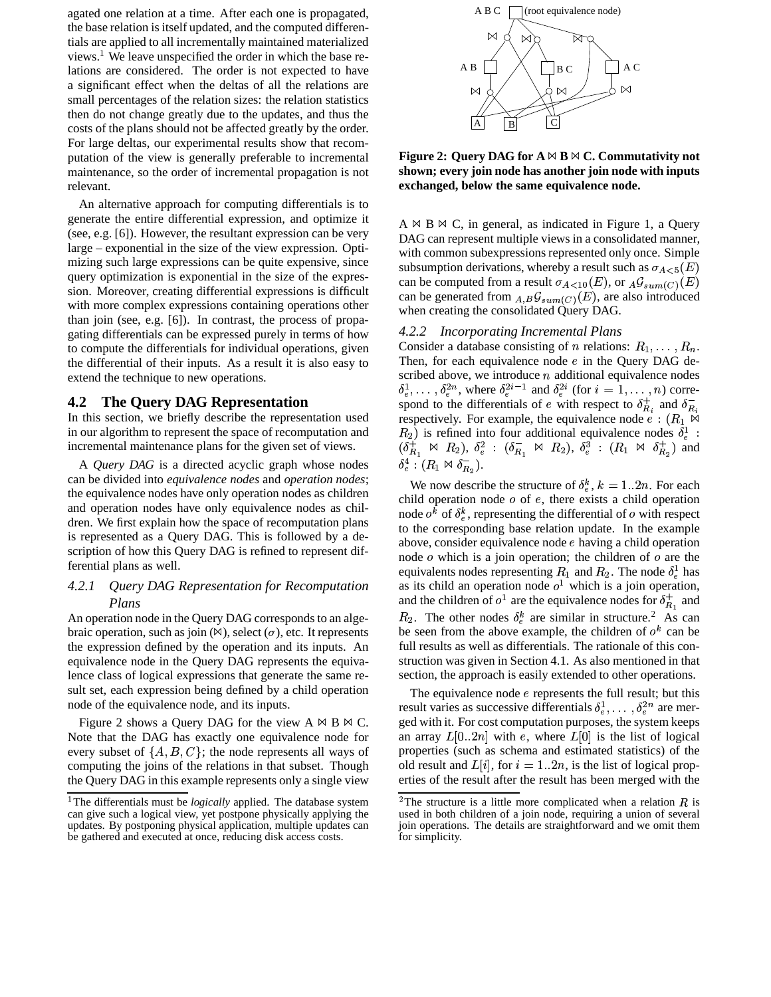agated one relation at a time. After each one is propagated, the base relation is itself updated, and the computed differentials are applied to all incrementally maintained materialized views.<sup>1</sup> We leave unspecified the order in which the base relations are considered. The order is not expected to have a significant effect when the deltas of all the relations are small percentages of the relation sizes: the relation statistics then do not change greatly due to the updates, and thus the costs of the plans should not be affected greatly by the order. For large deltas, our experimental results show that recomputation of the view is generally preferable to incremental maintenance, so the order of incremental propagation is not relevant.

An alternative approach for computing differentials is to generate the entire differential expression, and optimize it (see, e.g. [6]). However, the resultant expression can be very large – exponential in the size of the view expression. Optimizing such large expressions can be quite expensive, since query optimization is exponential in the size of the expression. Moreover, creating differential expressions is difficult with more complex expressions containing operations other than join (see, e.g. [6]). In contrast, the process of propagating differentials can be expressed purely in terms of how to compute the differentials for individual operations, given the differential of their inputs. As a result it is also easy to extend the technique to new operations.

### **4.2 The Query DAG Representation**

In this section, we briefly describe the representation used in our algorithm to represent the space of recomputation and incremental maintenance plans for the given set of views.

A *Query DAG* is a directed acyclic graph whose nodes can be divided into *equivalence nodes* and *operation nodes*; the equivalence nodes have only operation nodes as children and operation nodes have only equivalence nodes as children. We first explain how the space of recomputation plans is represented as a Query DAG. This is followed by a description of how this Query DAG is refined to represent differential plans as well.

### *4.2.1 Query DAG Representation for Recomputation Plans*

An operation node in the Query DAG corresponds to an algebraic operation, such as join  $(\mathbb{M})$ , select  $(\sigma)$ , etc. It represents the expression defined by the operation and its inputs. An equivalence node in the Query DAG represents the equivalence class of logical expressions that generate the same result set, each expression being defined by a child operation node of the equivalence node, and its inputs.

Figure 2 shows a Query DAG for the view  $A \bowtie B \bowtie C$ . Note that the DAG has exactly one equivalence node for every subset of  $\{A, B, C\}$ ; the node represents all ways of computing the joins of the relations in that subset. Though the Query DAG in this example represents only a single view



**Figure 2:** Query DAG for  $A \bowtie B \bowtie C$ . Commutativity not **shown; every join node has another join node with inputs exchanged, below the same equivalence node.**

 $A \bowtie B \bowtie C$ , in general, as indicated in Figure 1, a Query DAG can represent multiple views in a consolidated manner, with common subexpressions represented only once. Simple subsumption derivations, whereby a result such as  $\sigma_{A<5}(E)$ can be computed from a result  $\sigma_{A<10}(E)$ , or  $_A\mathcal{G}_{sum(C)}(E)$ can be generated from  $_{A,B}\mathcal{G}_{sum(C)}(E)$ , are also introduced when creating the consolidated Query DAG.

### *4.2.2 Incorporating Incremental Plans*

Consider a database consisting of *n* relations:  $R_1, \ldots, R_n$ . Then, for each equivalence node  $e$  in the Query DAG described above, we introduce  $n$  additional equivalence nodes  $\delta^1_{\sigma}, \ldots, \delta^{2n}_{\sigma}$ , where  $\epsilon_n^{2n}$ , where  $\delta_e^{2i-1}$  and **Property** and the contract of the contract of the contract of the contract of the contract of the contract of the contract of the contract of the contract of the contract of the contract of the contract of the contract of  $\delta_e^{2i-1}$  and  $\delta_e^{2i}$  (for  $i=1,\ldots,n$ ) correspond to the differentials of e with respect to  $\delta_{R_1}^+$  and  $\delta_{R_2}^$ respectively. For example, the equivalence node  $e:(R_1 \bowtie$  $R_2$ ) is refined into four additional equivalence nodes  $\delta^1$ .  $(\delta_{B_1}^+ \Join R_2), \ \delta_e^2 \; : \; (\delta_{B_1}^- \Join R_2), \ \delta_e^3 \; : \; (R_1 \Join \delta_{B_2}^+) \text{ and }$  $\delta_e^4$  :  $(R_1 \boxtimes \delta_{R_2}^-)$ .

We now describe the structure of  $\delta_{\epsilon}^{k}$ ,  $k=1..2n$ . For each child operation node  $o$  of  $e$ , there exists a child operation node  $o^k$  of  $\delta^k$ , representing the differential of  $o$  with respect to the corresponding base relation update. In the example above, consider equivalence node  $e$  having a child operation node  $\sigma$  which is a join operation; the children of  $\sigma$  are the equivalents nodes representing  $R_1$  and  $R_2$ . The node  $\delta_e^1$  has as its child an operation node  $o<sup>1</sup>$  which is a join operation, and the children of  $o^1$  are the equivalence nodes for  $\delta_{R_1}^+$  and  $R_2$ . The other nodes  $\delta_e^k$  are similar in structure.<sup>2</sup> As can be seen from the above example, the children of  $o<sup>k</sup>$  can be full results as well as differentials. The rationale of this construction was given in Section 4.1. As also mentioned in that section, the approach is easily extended to other operations.

The equivalence node  $e$  represents the full result; but this result varies as successive differentials  $\delta_e^1, \ldots, \delta_e^{2n}$  are me  $_{e}^{2n}$  are merged with it. For cost computation purposes, the system keeps an array  $L[0..2n]$  with e, where  $L[0]$  is the list of logical properties (such as schema and estimated statistics) of the old result and  $L[i]$ , for  $i=1..2n$ , is the list of logical properties of the result after the result has been merged with the

<sup>&</sup>lt;sup>1</sup>The differentials must be *logically* applied. The database system can give such a logical view, yet postpone physically applying the updates. By postponing physical application, multiple updates can be gathered and executed at once, reducing disk access costs.

<sup>&</sup>lt;sup>2</sup>The structure is a little more complicated when a relation R is used in both children of a join node, requiring a union of several join operations. The details are straightforward and we omit them for simplicity.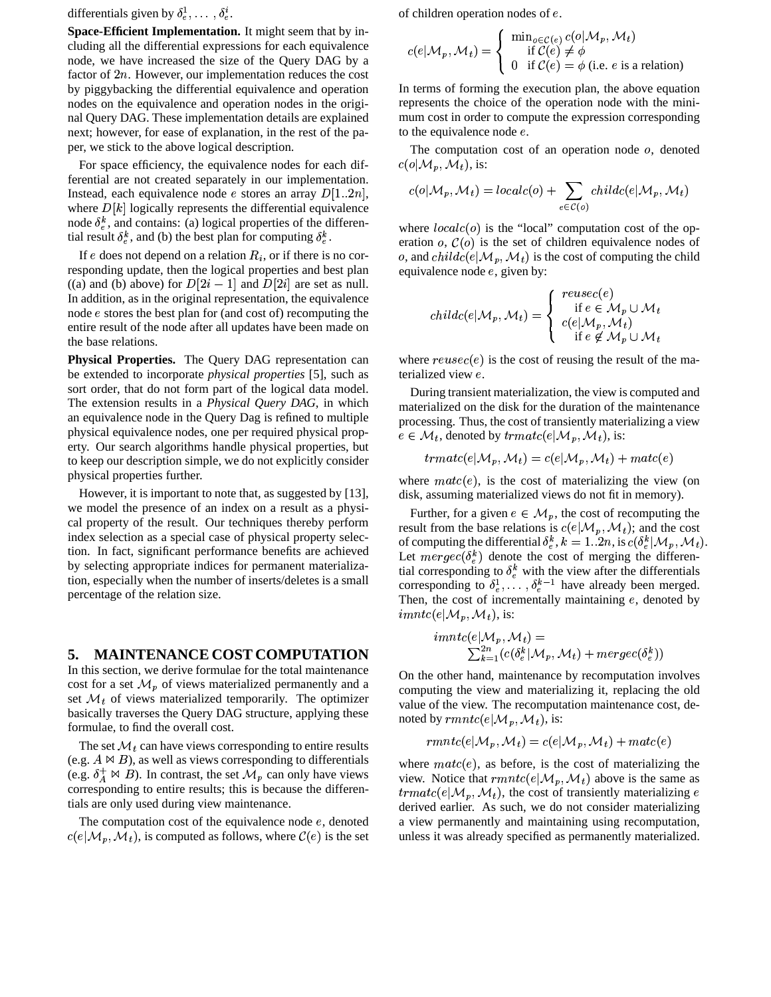differentials given by  $\delta_e^1, \ldots, \delta_e^i$ .

**Space-Efficient Implementation.** It might seem that by including all the differential expressions for each equivalence node, we have increased the size of the Query DAG by a factor of  $2n$ . However, our implementation reduces the cost by piggybacking the differential equivalence and operation nodes on the equivalence and operation nodes in the original Query DAG. These implementation details are explained next; however, for ease of explanation, in the rest of the paper, we stick to the above logical description.

For space efficiency, the equivalence nodes for each differential are not created separately in our implementation. Instead, each equivalence node  $e$  stores an array  $D[1..2n]$ , where  $D[k]$  logically represents the differential equivalence node  $\delta_e^k$ , and contains: (a) logical properties of the differential result  $\delta_e^k$ , and (b) the best plan for computing  $\delta_e^k$ .

If e does not depend on a relation  $R_i$ , or if there is no corresponding update, then the logical properties and best plan ((a) and (b) above) for  $D[2i - 1]$  and  $D[2i]$  are set as null. In addition, as in the original representation, the equivalence node  $e$  stores the best plan for (and cost of) recomputing the entire result of the node after all updates have been made on the base relations.

**Physical Properties.** The Query DAG representation can be extended to incorporate *physical properties* [5], such as sort order, that do not form part of the logical data model. The extension results in a *Physical Query DAG*, in which an equivalence node in the Query Dag is refined to multiple physical equivalence nodes, one per required physical property. Our search algorithms handle physical properties, but to keep our description simple, we do not explicitly consider physical properties further.

However, it is important to note that, as suggested by [13], we model the presence of an index on a result as a physical property of the result. Our techniques thereby perform index selection as a special case of physical property selection. In fact, significant performance benefits are achieved by selecting appropriate indices for permanent materialization, especially when the number of inserts/deletes is a small percentage of the relation size.

#### **5. MAINTENANCE COST COMPUTATION**

In this section, we derive formulae for the total maintenance cost for a set  $\mathcal{M}_p$  of views materialized permanently and a set  $\mathcal{M}_t$  of views materialized temporarily. The optimizer basically traverses the Query DAG structure, applying these formulae, to find the overall cost.

The set  $\mathcal{M}_t$  can have views corresponding to entire results (e.g.  $A \Join B$ ), as well as views corresponding to differentials (e.g.  $\delta_A^+ \bowtie B$ ). In contrast, the set  $\mathcal{M}_p$  can only have views corresponding to entire results; this is because the differentials are only used during view maintenance.

The computation cost of the equivalence node  $e$ , denoted  $c(e | \mathcal{M}_p, \mathcal{M}_t)$ , is computed as follows, where  $\mathcal{C}(e)$  is the set

of children operation nodes of e.

$$
c(e|\mathcal{M}_p, \mathcal{M}_t) = \begin{cases} \min_{o \in \mathcal{C}(e)} c(o|\mathcal{M}_p, \mathcal{M}_t) \\ \text{if } \mathcal{C}(e) \neq \phi \\ 0 \text{ if } \mathcal{C}(e) = \phi \text{ (i.e. } e \text{ is a relation)} \end{cases}
$$

In terms of forming the execution plan, the above equation represents the choice of the operation node with the minimum cost in order to compute the expression corresponding to the equivalence node  $e$ .

The computation cost of an operation node  $o$ , denoted  $c(o|\mathcal{M}_p, \mathcal{M}_t)$ , is:

$$
c(o|\mathcal{M}_p, \mathcal{M}_t) = locale(o) + \sum_{e \in C(o)}childc(e|\mathcal{M}_p, \mathcal{M}_t)
$$

where  $localc(o)$  is the "local" computation cost of the operation  $o$ ,  $\mathcal{C}(o)$  is the set of children equivalence nodes of *o*, and  $childc(e|M_p, M_t)$  is the cost of computing the child equivalence node  $e$ , given by:

$$
childc(e|\mathcal{M}_p, \mathcal{M}_t) = \left\{ \begin{array}{l} reusec(e) \\ \text{if } e \in \mathcal{M}_p \cup \mathcal{M}_t \\ c(e|\mathcal{M}_p, \mathcal{M}_t) \\ \text{if } e \notin \mathcal{M}_p \cup \mathcal{M}_t \end{array} \right.
$$

where  $reusec(e)$  is the cost of reusing the result of the materialized view e.

During transient materialization, the view is computed and materialized on the disk for the duration of the maintenance processing. Thus, the cost of transiently materializing a view  $e \in \mathcal{M}_t$ , denoted by  $trmate(e|\mathcal{M}_p, \mathcal{M}_t)$ , is:

$$
trmate(e|\mathcal{M}_p, \mathcal{M}_t) = c(e|\mathcal{M}_p, \mathcal{M}_t) + mate(e)
$$

where  $\text{mate}(e)$ , is the cost of materializing the view (on disk, assuming materialized views do not fit in memory).

Further, for a given  $e \in \mathcal{M}_p$ , the cost of recomputing the result from the base relations is  $c(e|\mathcal{M}_p, \mathcal{M}_t)$ ; and the cost of computing the differential  $\delta_e^k$ ,  $k = 1..2n$ , is  $c(\delta_e^k | \mathcal{M}_p, \mathcal{M}_t)$ . Let  $merge(\delta_e^k)$  denote the cost of merging the differential corresponding to  $\delta_e^k$  with the view after the differentials corresponding to  $\delta_e^1, \ldots, \delta_e^{k-1}$  have alr  $k^{-1}$  have already been merged. Then, the cost of incrementally maintaining  $e$ , denoted by  $imntc(e|M_p, \mathcal{M}_t)$ , is:

$$
imntc(e|\mathcal{M}_p, \mathcal{M}_t) = \newline \sum_{k=1}^{2n} (c(\delta_e^k|\mathcal{M}_p, \mathcal{M}_t) + mergec(\delta_e^k))
$$

On the other hand, maintenance by recomputation involves computing the view and materializing it, replacing the old value of the view. The recomputation maintenance cost, denoted by  $rmtc(e|M_p, \mathcal{M}_t)$ , is:

$$
rmntc(e|M_p, \mathcal{M}_t) = c(e|\mathcal{M}_p, \mathcal{M}_t) + mate(e)
$$

where  $\text{mate}(e)$ , as before, is the cost of materializing the view. Notice that  $rmntc(e|M_p, M_t)$  above is the same as<br> $t r m ct c(e|M_{\perp} | M_t)$  the cost of transiently materializing c  $trmate(e|M_p, M_t)$ , the cost of transiently materializing e<br>derived extient As such we do not consider materializing derived earlier. As such, we do not consider materializing a view permanently and maintaining using recomputation, unless it was already specified as permanently materialized.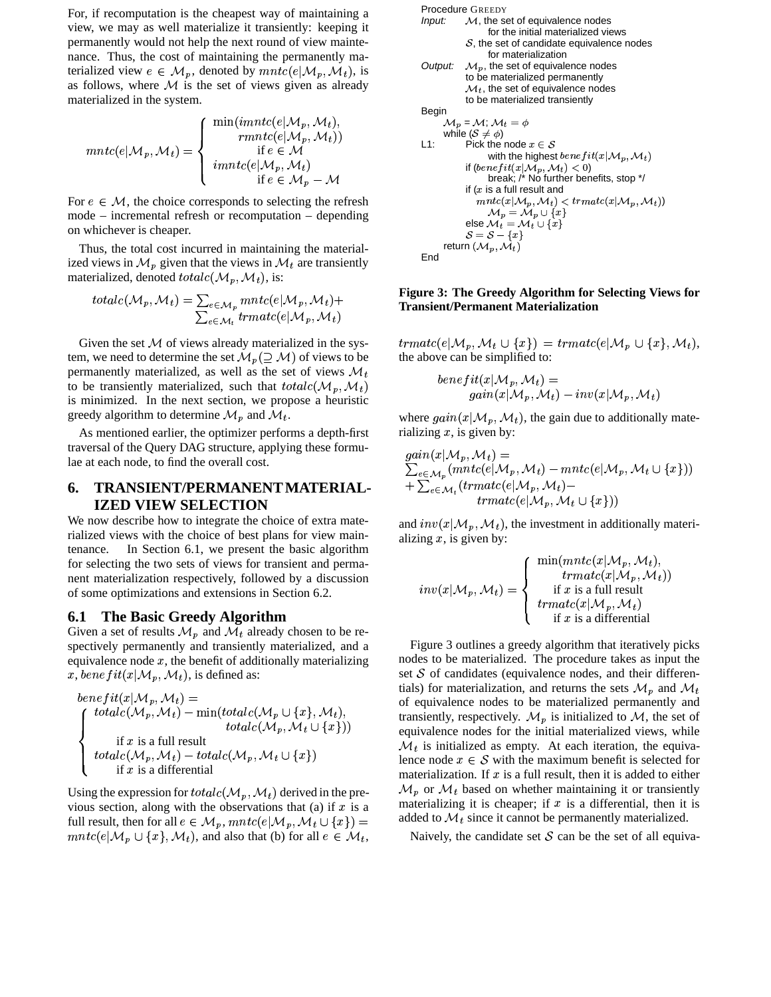For, if recomputation is the cheapest way of maintaining a view, we may as well materialize it transiently: keeping it permanently would not help the next round of view maintenance. Thus, the cost of maintaining the permanently materialized view  $e \in \mathcal{M}_p$ , denoted by  $mntc(e|\mathcal{M}_p, \mathcal{M}_t)$ , is as follows, where  $M$  is the set of views given as already materialized in the system.

$$
mntc(e|\mathcal{M}_p, \mathcal{M}_t) = \left\{ \begin{array}{ll} \min(imntc(e|\mathcal{M}_p, \mathcal{M}_t), & \mathcal{M}_p \\ rmtc(e|\mathcal{M}_p, \mathcal{M}_t)) & \text{if } e \in \mathcal{M} \\ \text{imntc}(e|\mathcal{M}_p, \mathcal{M}_t) & \text{if } e \in \mathcal{M}_p - \mathcal{M} \end{array} \right.
$$

For  $e \in M$ , the choice corresponds to selecting the refresh mode – incremental refresh or recomputation – depending on whichever is cheaper.

Thus, the total cost incurred in maintaining the materialized views in  $\mathcal{M}_p$  given that the views in  $\mathcal{M}_t$  are transiently materialized, denoted  $totalc(\mathcal{M}_p, \mathcal{M}_t)$ , is:

$$
totalc(\mathcal{M}_p, \mathcal{M}_t) = \sum_{e \in \mathcal{M}_p} mntc(e|\mathcal{M}_p, \mathcal{M}_t) + \sum_{e \in \mathcal{M}_t} trmate(e|\mathcal{M}_p, \mathcal{M}_t)
$$

Given the set  $M$  of views already materialized in the system, we need to determine the set  $\mathcal{M}_p(\supseteq \mathcal{M})$  of views to be permanently materialized, as well as the set of views  $\mathcal{M}_t$ to be transiently materialized, such that  $totalc(\mathcal{M}_p, \mathcal{M}_t)$ is minimized. In the next section, we propose a heuristic greedy algorithm to determine  $\mathcal{M}_p$  and  $\mathcal{M}_t$ .

As mentioned earlier, the optimizer performs a depth-first traversal of the Query DAG structure, applying these formulae at each node, to find the overall cost.

# **6. TRANSIENT/PERMANENTMATERIAL-IZED VIEW SELECTION**

We now describe how to integrate the choice of extra materialized views with the choice of best plans for view maintenance. In Section 6.1, we present the basic algorithm for selecting the two sets of views for transient and permanent materialization respectively, followed by a discussion of some optimizations and extensions in Section 6.2.

#### **6.1 The Basic Greedy Algorithm**

Given a set of results  $\mathcal{M}_p$  and  $\mathcal{M}_t$  already chosen to be respectively permanently and transiently materialized, and a equivalence node  $x$ , the benefit of additionally materializing x, benefit(x| $\mathcal{M}_p$ ,  $\mathcal{M}_t$ ), is defined as:

$$
benefit(x|M_p, M_t) =
$$
\n
$$
\begin{cases}\ntotalc(M_p, M_t) - \min(totalc(M_p \cup \{x\}, M_t), \\
totalc(M_p, M_t \cup \{x\})) \\
\text{if } x \text{ is a full result} \\
totalc(M_p, M_t) - totalc(M_p, M_t \cup \{x\}) \\
\text{if } x \text{ is a differential}\n\end{cases}
$$

Using the expression for  $totalc(\mathcal{M}_p, \mathcal{M}_t)$  derived in the previous section, along with the observations that (a) if  $x$  is a full result, then for all  $e \in \mathcal{M}_p, mntc(e|\mathcal{M}_p, \mathcal{M}_t \cup \{x\}) =$  added to  $\mathit{ntc}(e|\mathcal{M}_p \cup \{x\}, \mathcal{M}_t)$ , and also that (b) for all  $e \in \mathcal{M}_t$ ,

Proceedure GREEDY

\nInput: 
$$
M
$$
, the set of equivalence nodes

\nfor the initial materialized views

\nS, the set of candidate equivalence nodes for materialization.

\nOutput:  $M_p$ , the set of equivalence nodes to be materialized permanently

\n $M_t$ , the set of equivalence nodes to be materialized transformally

\nBegin

\n $M_p = M; M_t = \phi$ 

\nwhile  $(S \neq \phi)$ 

\n1: Pick the node  $x \in S$  with the highest  $benet{it(x|M_p, M_t)}$  if  $(benet{it(x|M_p, M_t) < 0)$  break; /\* No further benefits, stop \*/ if  $(x \text{ is a full result and } \text{mntc}(x|M_p, M_t) < \text{trmatc}(x|M_p, M_t))$ 

\n $M_p = M_p \cup \{x\}$ 

\nelse  $M_t = M_t \cup \{x\}$ 

\nreturn  $(M_p, M_t)$ 

\nEnd

\nEnd

### $\{e | \forall x_i p, \forall x_i f \}$  **Transient/Permanent Materialization Figure 3: The Greedy Algorithm for Selecting Views for**

 $trmate(e|M_p, M_t \cup \{x\}) = trunc(e|M_p \cup \{x\}, M_t),$ <br>the above can be simplified to: the above can be simplified to:

$$
benefit(x|M_p, \mathcal{M}_t) = \\ gain(x|\mathcal{M}_p, \mathcal{M}_t) - inv(x|\mathcal{M}_p, \mathcal{M}_t)
$$

where  $gain(x|\mathcal{M}_p, \mathcal{M}_t)$ , the gain due to additionally mate-<br>rializing x is given by: rializing  $x$ , is given by:

$$
gain(x|\mathcal{M}_p, \mathcal{M}_t) =
$$
  
\n
$$
\sum_{e \in \mathcal{M}_p} (mntc(e|\mathcal{M}_p, \mathcal{M}_t) - mntc(e|\mathcal{M}_p, \mathcal{M}_t \cup \{x\}))
$$
  
\n
$$
+ \sum_{e \in \mathcal{M}_t} (trmatc(e|\mathcal{M}_p, \mathcal{M}_t) -
$$
  
\n
$$
trmatc(e|\mathcal{M}_p, \mathcal{M}_t \cup \{x\}))
$$

and  $inv(x|M_p, M_t)$ , the investment in additionally materializing  $x$ , is given by:

$$
inv(x | \mathcal{M}_p, \mathcal{M}_t) = \left\{ \begin{array}{l} \min(mntc(x | \mathcal{M}_p, \mathcal{M}_t), \\ \textit{trmate}(x | \mathcal{M}_p, \mathcal{M}_t)) \\ \text{if } x \text{ is a full result} \\ \textit{trmate}(x | \mathcal{M}_p, \mathcal{M}_t) \\ \text{if } x \text{ is a differential} \end{array} \right.
$$

Figure 3 outlines a greedy algorithm that iteratively picks nodes to be materialized. The procedure takes as input the set  $\mathcal S$  of candidates (equivalence nodes, and their differentials) for materialization, and returns the sets  $\mathcal{M}_p$  and  $\mathcal{M}_t$ of equivalence nodes to be materialized permanently and transiently, respectively.  $\mathcal{M}_p$  is initialized to  $\mathcal{M}$ , the set of equivalence nodes for the initial materialized views, while  $\mathcal{M}_t$  is initialized as empty. At each iteration, the equivalence node  $x \in S$  with the maximum benefit is selected for materialization. If  $x$  is a full result, then it is added to either  $\mathcal{M}_p$  or  $\mathcal{M}_t$  based on whether maintaining it or transiently materializing it is cheaper; if  $x$  is a differential, then it is added to  $\mathcal{M}_t$  since it cannot be permanently materialized.

Naively, the candidate set  $S$  can be the set of all equiva-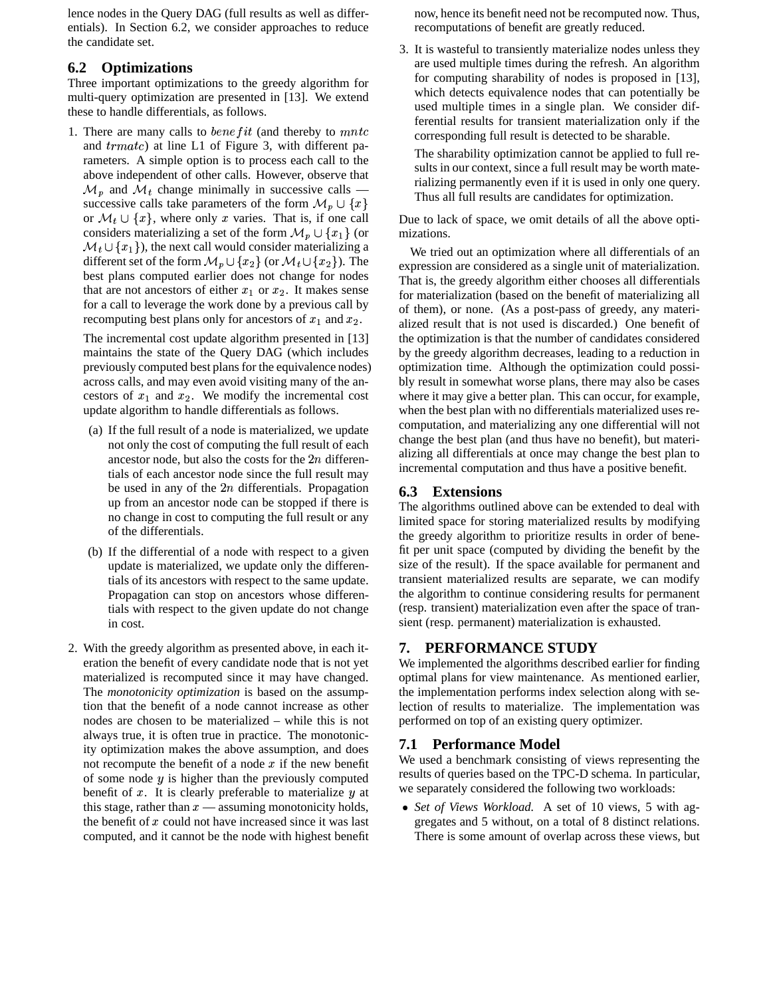lence nodes in the Query DAG (full results as well as differentials). In Section 6.2, we consider approaches to reduce the candidate set.

# **6.2 Optimizations**

Three important optimizations to the greedy algorithm for multi-query optimization are presented in [13]. We extend these to handle differentials, as follows.

1. There are many calls to  $benefit$  (and thereby to  $mntc$ and  $trmate$ ) at line L1 of Figure 3, with different pa-<br>remoters  $\Delta$  simple option is to process each call to the rameters. A simple option is to process each call to the above independent of other calls. However, observe that  $\mathcal{M}_p$  and  $\mathcal{M}_t$  change minimally in successive calls successive calls take parameters of the form  $\mathcal{M}_p \cup \{x\}$ or  $\mathcal{M}_t \cup \{x\}$ , where only x varies. That is, if one call considers materializing a set of the form  $\mathcal{M}_p \cup \{x_1\}$  (or  $\mathcal{M}_t \cup \{x_1\}$ , the next call would consider materializing a different set of the form  $\mathcal{M}_p \cup \{x_2\}$  (or  $\mathcal{M}_t \cup \{x_2\}$ ). The best plans computed earlier does not change for nodes that are not ancestors of either  $x_1$  or  $x_2$ . It makes sense for a call to leverage the work done by a previous call by recomputing best plans only for ancestors of  $x_1$  and  $x_2$ .

The incremental cost update algorithm presented in [13] maintains the state of the Query DAG (which includes previously computed best plans for the equivalence nodes) across calls, and may even avoid visiting many of the ancestors of  $x_1$  and  $x_2$ . We modify the incremental cost update algorithm to handle differentials as follows.

- (a) If the full result of a node is materialized, we update not only the cost of computing the full result of each ancestor node, but also the costs for the  $2n$  differentials of each ancestor node since the full result may be used in any of the  $2n$  differentials. Propagation up from an ancestor node can be stopped if there is no change in cost to computing the full result or any of the differentials.
- (b) If the differential of a node with respect to a given update is materialized, we update only the differentials of its ancestors with respect to the same update. Propagation can stop on ancestors whose differentials with respect to the given update do not change in cost.
- 2. With the greedy algorithm as presented above, in each iteration the benefit of every candidate node that is not yet materialized is recomputed since it may have changed. The *monotonicity optimization* is based on the assumption that the benefit of a node cannot increase as other nodes are chosen to be materialized – while this is not always true, it is often true in practice. The monotonicity optimization makes the above assumption, and does not recompute the benefit of a node  $x$  if the new benefit of some node  $y$  is higher than the previously computed benefit of  $x$ . It is clearly preferable to materialize  $y$  at this stage, rather than  $x$  — assuming monotonicity holds, the benefit of  $x$  could not have increased since it was last computed, and it cannot be the node with highest benefit

now, hence its benefit need not be recomputed now. Thus, recomputations of benefit are greatly reduced.

3. It is wasteful to transiently materialize nodes unless they are used multiple times during the refresh. An algorithm for computing sharability of nodes is proposed in [13], which detects equivalence nodes that can potentially be used multiple times in a single plan. We consider differential results for transient materialization only if the corresponding full result is detected to be sharable.

The sharability optimization cannot be applied to full results in our context, since a full result may be worth materializing permanently even if it is used in only one query. Thus all full results are candidates for optimization.

Due to lack of space, we omit details of all the above optimizations.

We tried out an optimization where all differentials of an expression are considered as a single unit of materialization. That is, the greedy algorithm either chooses all differentials for materialization (based on the benefit of materializing all of them), or none. (As a post-pass of greedy, any materialized result that is not used is discarded.) One benefit of the optimization is that the number of candidates considered by the greedy algorithm decreases, leading to a reduction in optimization time. Although the optimization could possibly result in somewhat worse plans, there may also be cases where it may give a better plan. This can occur, for example, when the best plan with no differentials materialized uses recomputation, and materializing any one differential will not change the best plan (and thus have no benefit), but materializing all differentials at once may change the best plan to incremental computation and thus have a positive benefit.

# **6.3 Extensions**

The algorithms outlined above can be extended to deal with limited space for storing materialized results by modifying the greedy algorithm to prioritize results in order of benefit per unit space (computed by dividing the benefit by the size of the result). If the space available for permanent and transient materialized results are separate, we can modify the algorithm to continue considering results for permanent (resp. transient) materialization even after the space of transient (resp. permanent) materialization is exhausted.

# **7. PERFORMANCE STUDY**

We implemented the algorithms described earlier for finding optimal plans for view maintenance. As mentioned earlier, the implementation performs index selection along with selection of results to materialize. The implementation was performed on top of an existing query optimizer.

# **7.1 Performance Model**

We used a benchmark consisting of views representing the results of queries based on the TPC-D schema. In particular, we separately considered the following two workloads:

• Set of Views Workload. A set of 10 views, 5 with aggregates and 5 without, on a total of 8 distinct relations. There is some amount of overlap across these views, but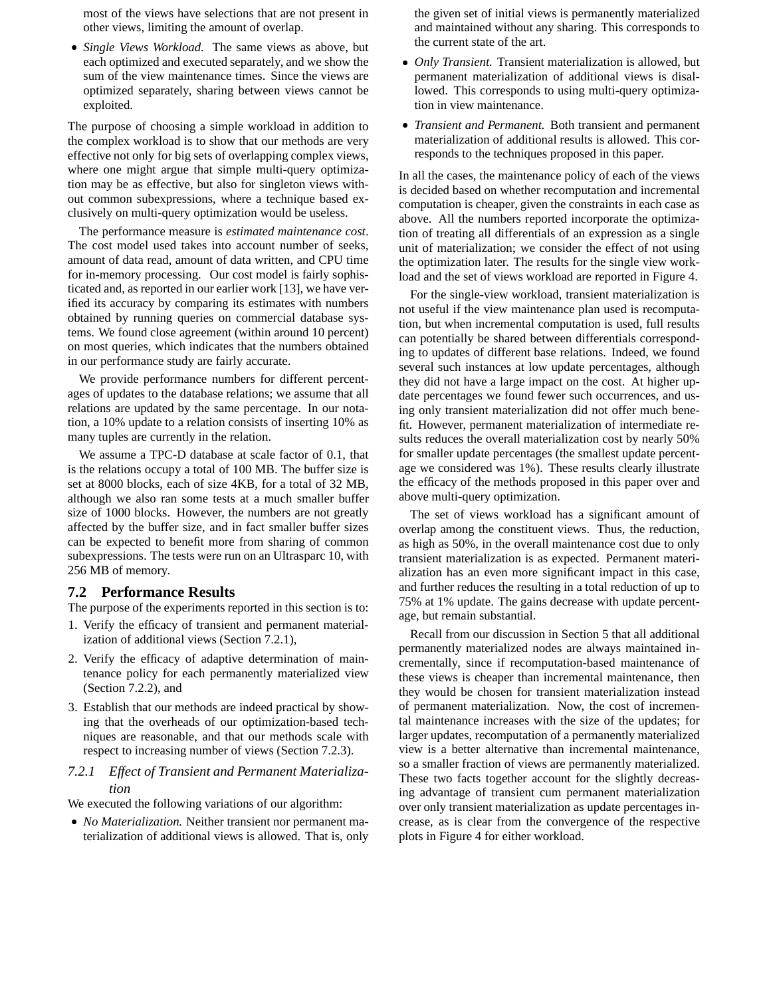most of the views have selections that are not present in other views, limiting the amount of overlap.

• Single Views Workload. The same views as above, but each optimized and executed separately, and we show the sum of the view maintenance times. Since the views are optimized separately, sharing between views cannot be exploited.

The purpose of choosing a simple workload in addition to the complex workload is to show that our methods are very effective not only for big sets of overlapping complex views, where one might argue that simple multi-query optimization may be as effective, but also for singleton views without common subexpressions, where a technique based exclusively on multi-query optimization would be useless.

The performance measure is *estimated maintenance cost*. The cost model used takes into account number of seeks, amount of data read, amount of data written, and CPU time for in-memory processing. Our cost model is fairly sophisticated and, as reported in our earlier work [13], we have verified its accuracy by comparing its estimates with numbers obtained by running queries on commercial database systems. We found close agreement (within around 10 percent) on most queries, which indicates that the numbers obtained in our performance study are fairly accurate.

We provide performance numbers for different percentages of updates to the database relations; we assume that all relations are updated by the same percentage. In our notation, a 10% update to a relation consists of inserting 10% as many tuples are currently in the relation.

We assume a TPC-D database at scale factor of 0.1, that is the relations occupy a total of 100 MB. The buffer size is set at 8000 blocks, each of size 4KB, for a total of 32 MB, although we also ran some tests at a much smaller buffer size of 1000 blocks. However, the numbers are not greatly affected by the buffer size, and in fact smaller buffer sizes can be expected to benefit more from sharing of common subexpressions. The tests were run on an Ultrasparc 10, with 256 MB of memory.

### **7.2 Performance Results**

The purpose of the experiments reported in this section is to:

- 1. Verify the efficacy of transient and permanent materialization of additional views (Section 7.2.1),
- 2. Verify the efficacy of adaptive determination of maintenance policy for each permanently materialized view (Section 7.2.2), and
- 3. Establish that our methods are indeed practical by showing that the overheads of our optimization-based techniques are reasonable, and that our methods scale with respect to increasing number of views (Section 7.2.3).

### *7.2.1 Effect of Transient and Permanent Materialization*

We executed the following variations of our algorithm:

• *No Materialization*. Neither transient nor permanent materialization of additional views is allowed. That is, only the given set of initial views is permanently materialized and maintained without any sharing. This corresponds to the current state of the art.

- Only Transient. Transient materialization is allowed, but permanent materialization of additional views is disallowed. This corresponds to using multi-query optimization in view maintenance.
- *Transient and Permanent*. Both transient and permanent materialization of additional results is allowed. This corresponds to the techniques proposed in this paper.

In all the cases, the maintenance policy of each of the views is decided based on whether recomputation and incremental computation is cheaper, given the constraints in each case as above. All the numbers reported incorporate the optimization of treating all differentials of an expression as a single unit of materialization; we consider the effect of not using the optimization later. The results for the single view workload and the set of views workload are reported in Figure 4.

For the single-view workload, transient materialization is not useful if the view maintenance plan used is recomputation, but when incremental computation is used, full results can potentially be shared between differentials corresponding to updates of different base relations. Indeed, we found several such instances at low update percentages, although they did not have a large impact on the cost. At higher update percentages we found fewer such occurrences, and using only transient materialization did not offer much benefit. However, permanent materialization of intermediate results reduces the overall materialization cost by nearly 50% for smaller update percentages (the smallest update percentage we considered was 1%). These results clearly illustrate the efficacy of the methods proposed in this paper over and above multi-query optimization.

The set of views workload has a significant amount of overlap among the constituent views. Thus, the reduction, as high as 50%, in the overall maintenance cost due to only transient materialization is as expected. Permanent materialization has an even more significant impact in this case, and further reduces the resulting in a total reduction of up to 75% at 1% update. The gains decrease with update percentage, but remain substantial.

Recall from our discussion in Section 5 that all additional permanently materialized nodes are always maintained incrementally, since if recomputation-based maintenance of these views is cheaper than incremental maintenance, then they would be chosen for transient materialization instead of permanent materialization. Now, the cost of incremental maintenance increases with the size of the updates; for larger updates, recomputation of a permanently materialized view is a better alternative than incremental maintenance, so a smaller fraction of views are permanently materialized. These two facts together account for the slightly decreasing advantage of transient cum permanent materialization over only transient materialization as update percentages increase, as is clear from the convergence of the respective plots in Figure 4 for either workload.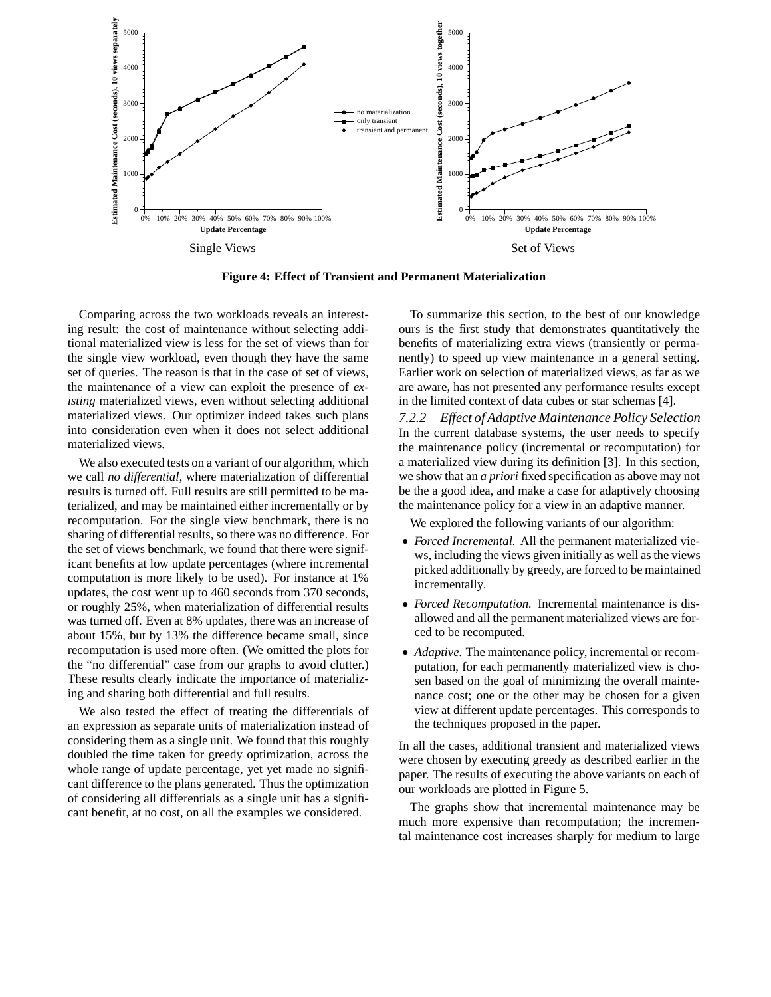

**Figure 4: Effect of Transient and Permanent Materialization**

Comparing across the two workloads reveals an interesting result: the cost of maintenance without selecting additional materialized view is less for the set of views than for the single view workload, even though they have the same set of queries. The reason is that in the case of set of views, the maintenance of a view can exploit the presence of *existing* materialized views, even without selecting additional materialized views. Our optimizer indeed takes such plans into consideration even when it does not select additional materialized views.

We also executed tests on a variant of our algorithm, which we call *no differential*, where materialization of differential results is turned off. Full results are still permitted to be materialized, and may be maintained either incrementally or by recomputation. For the single view benchmark, there is no sharing of differential results, so there was no difference. For the set of views benchmark, we found that there were significant benefits at low update percentages (where incremental computation is more likely to be used). For instance at 1% updates, the cost went up to 460 seconds from 370 seconds, or roughly 25%, when materialization of differential results was turned off. Even at 8% updates, there was an increase of about 15%, but by 13% the difference became small, since recomputation is used more often. (We omitted the plots for the "no differential" case from our graphs to avoid clutter.) These results clearly indicate the importance of materializing and sharing both differential and full results.

We also tested the effect of treating the differentials of an expression as separate units of materialization instead of considering them as a single unit. We found that this roughly doubled the time taken for greedy optimization, across the whole range of update percentage, yet yet made no significant difference to the plans generated. Thus the optimization of considering all differentials as a single unit has a significant benefit, at no cost, on all the examples we considered.

To summarize this section, to the best of our knowledge ours is the first study that demonstrates quantitatively the benefits of materializing extra views (transiently or permanently) to speed up view maintenance in a general setting. Earlier work on selection of materialized views, as far as we are aware, has not presented any performance results except in the limited context of data cubes or star schemas [4].

*7.2.2 Effect of Adaptive Maintenance Policy Selection* In the current database systems, the user needs to specify the maintenance policy (incremental or recomputation) for a materialized view during its definition [3]. In this section, we show that an *a priori* fixed specification as above may not be the a good idea, and make a case for adaptively choosing the maintenance policy for a view in an adaptive manner.

We explored the following variants of our algorithm:

- *Forced Incremental*. All the permanent materialized views, including the views given initially as well asthe views picked additionally by greedy, are forced to be maintained incrementally.
- *Forced Recomputation*. Incremental maintenance is disallowed and all the permanent materialized views are forced to be recomputed.
- Adaptive. The maintenance policy, incremental or recomputation, for each permanently materialized view is chosen based on the goal of minimizing the overall maintenance cost; one or the other may be chosen for a given view at different update percentages. This corresponds to the techniques proposed in the paper.

In all the cases, additional transient and materialized views were chosen by executing greedy as described earlier in the paper. The results of executing the above variants on each of our workloads are plotted in Figure 5.

The graphs show that incremental maintenance may be much more expensive than recomputation; the incremental maintenance cost increases sharply for medium to large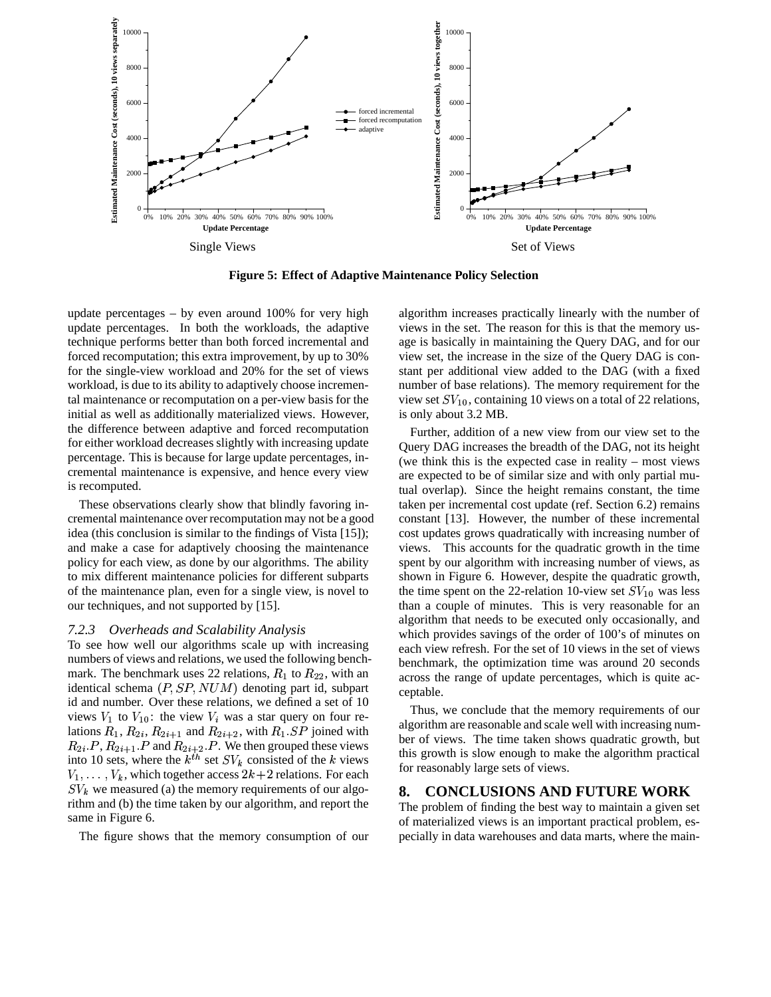

**Figure 5: Effect of Adaptive Maintenance Policy Selection**

update percentages – by even around 100% for very high update percentages. In both the workloads, the adaptive technique performs better than both forced incremental and forced recomputation; this extra improvement, by up to 30% for the single-view workload and 20% for the set of views workload, is due to its ability to adaptively choose incremental maintenance or recomputation on a per-view basis for the initial as well as additionally materialized views. However, the difference between adaptive and forced recomputation for either workload decreases slightly with increasing update percentage. This is because for large update percentages, incremental maintenance is expensive, and hence every view is recomputed.

These observations clearly show that blindly favoring incremental maintenance over recomputation may not be a good idea (this conclusion is similar to the findings of Vista [15]); and make a case for adaptively choosing the maintenance policy for each view, as done by our algorithms. The ability to mix different maintenance policies for different subparts of the maintenance plan, even for a single view, is novel to our techniques, and not supported by [15].

#### *7.2.3 Overheads and Scalability Analysis*

To see how well our algorithms scale up with increasing numbers of views and relations, we used the following benchmark. The benchmark uses 22 relations,  $R_1$  to  $R_{22}$ , with an identical schema  $(P, SP, NUM)$  denoting part id, subpart id and number. Over these relations, we defined a set of 10 views  $V_1$  to  $V_{10}$ : the view  $V_i$  was a star query on four relations  $R_1$ ,  $R_{2i}$ ,  $R_{2i+1}$  and  $R_{2i+2}$ , with  $R_1$  SP joined with  $R_{2i}$ ,  $P$ ,  $R_{2i+1}$ ,  $P$  and  $R_{2i+2}$ ,  $P$ . We then grouped these views into 10 sets, where the  $k^{th}$  set  $SV_k$  consisted of the k views  $V_1, \ldots, V_k$ , which together access  $2k+2$  relations. For each  $SV_k$  we measured (a) the memory requirements of our algorithm and (b) the time taken by our algorithm, and report the same in Figure 6.

The figure shows that the memory consumption of our

algorithm increases practically linearly with the number of views in the set. The reason for this is that the memory usage is basically in maintaining the Query DAG, and for our view set, the increase in the size of the Query DAG is constant per additional view added to the DAG (with a fixed number of base relations). The memory requirement for the view set  $SV_{10}$ , containing 10 views on a total of 22 relations, is only about 3.2 MB.

Further, addition of a new view from our view set to the Query DAG increases the breadth of the DAG, not its height (we think this is the expected case in reality – most views are expected to be of similar size and with only partial mutual overlap). Since the height remains constant, the time taken per incremental cost update (ref. Section 6.2) remains constant [13]. However, the number of these incremental cost updates grows quadratically with increasing number of views. This accounts for the quadratic growth in the time spent by our algorithm with increasing number of views, as shown in Figure 6. However, despite the quadratic growth, the time spent on the 22-relation 10-view set  $SV_{10}$  was less than a couple of minutes. This is very reasonable for an algorithm that needs to be executed only occasionally, and which provides savings of the order of 100's of minutes on each view refresh. For the set of 10 views in the set of views benchmark, the optimization time was around 20 seconds across the range of update percentages, which is quite acceptable.

Thus, we conclude that the memory requirements of our algorithm are reasonable and scale well with increasing number of views. The time taken shows quadratic growth, but this growth is slow enough to make the algorithm practical for reasonably large sets of views.

### **8. CONCLUSIONS AND FUTURE WORK**

The problem of finding the best way to maintain a given set of materialized views is an important practical problem, especially in data warehouses and data marts, where the main-